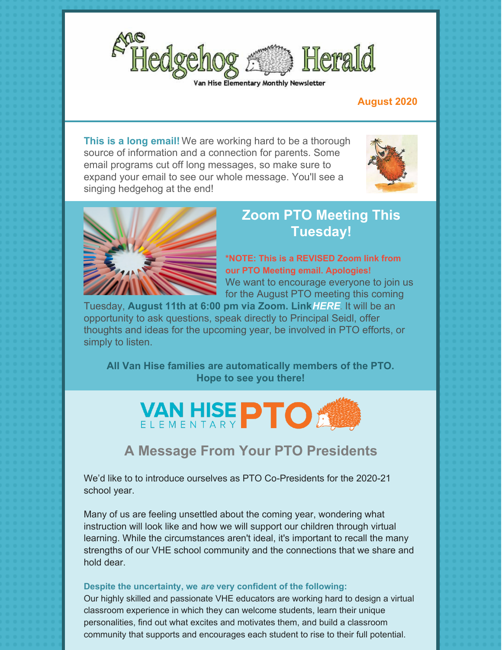

#### **August 2020**

**This is a long email!** We are working hard to be a thorough source of information and a connection for parents. Some email programs cut off long messages, so make sure to expand your email to see our whole message. You'll see a singing hedgehog at the end!





## **Zoom PTO Meeting This Tuesday!**

**\*NOTE: This is a REVISED Zoom link from our PTO Meeting email. Apologies!** We want to encourage everyone to join us for the August PTO meeting this coming

Tuesday, **August 11th at 6:00 pm via Zoom. Link***[HERE](https://zoom.us/j/95763041404#success)*. It will be an opportunity to ask questions, speak directly to Principal Seidl, offer thoughts and ideas for the upcoming year, be involved in PTO efforts, or simply to listen.

**All Van Hise families are automatically members of the PTO. Hope to see you there!**



## **A Message From Your PTO Presidents**

We'd like to to introduce ourselves as PTO Co-Presidents for the 2020-21 school year.

Many of us are feeling unsettled about the coming year, wondering what instruction will look like and how we will support our children through virtual learning. While the circumstances aren't ideal, it's important to recall the many strengths of our VHE school community and the connections that we share and hold dear.

#### **Despite the uncertainty, we** *are* **very confident of the following:**

Our highly skilled and passionate VHE educators are working hard to design a virtual classroom experience in which they can welcome students, learn their unique personalities, find out what excites and motivates them, and build a classroom community that supports and encourages each student to rise to their full potential.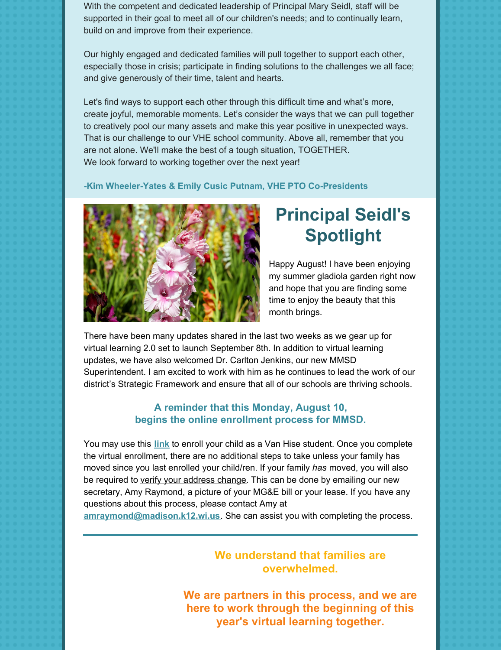With the competent and dedicated leadership of Principal Mary Seidl, staff will be supported in their goal to meet all of our children's needs; and to continually learn, build on and improve from their experience.

Our highly engaged and dedicated families will pull together to support each other, especially those in crisis; participate in finding solutions to the challenges we all face; and give generously of their time, talent and hearts.

Let's find ways to support each other through this difficult time and what's more, create joyful, memorable moments. Let's consider the ways that we can pull together to creatively pool our many assets and make this year positive in unexpected ways. That is our challenge to our VHE school community. Above all, remember that you are not alone. We'll make the best of a tough situation, TOGETHER. We look forward to working together over the next year!

#### **-Kim Wheeler-Yates & Emily Cusic Putnam, VHE PTO Co-Presidents**



# **Principal Seidl's Spotlight**

Happy August! I have been enjoying my summer gladiola garden right now and hope that you are finding some time to enjoy the beauty that this month brings.

There have been many updates shared in the last two weeks as we gear up for virtual learning 2.0 set to launch September 8th. In addition to virtual learning updates, we have also welcomed Dr. Carlton Jenkins, our new MMSD Superintendent. I am excited to work with him as he continues to lead the work of our district's Strategic Framework and ensure that all of our schools are thriving schools.

#### **A reminder that this Monday, August 10, begins the online enrollment process for MMSD.**

You may use this **[link](https://enrollment.madison.k12.wi.us/)** to enroll your child as a Van Hise student. Once you complete the virtual enrollment, there are no additional steps to take unless your family has moved since you last enrolled your child/ren. If your family *has* moved, you will also be required to verify your address change. This can be done by emailing our new secretary, Amy Raymond, a picture of your MG&E bill or your lease. If you have any questions about this process, please contact Amy at

**[amraymond@madison.k12.wi.us](mailto:amraymond@madison.k12.wi.us)**. She can assist you with completing the process.

### **We understand that families are overwhelmed.**

**We are partners in this process, and we are here to work through the beginning of this year's virtual learning together.**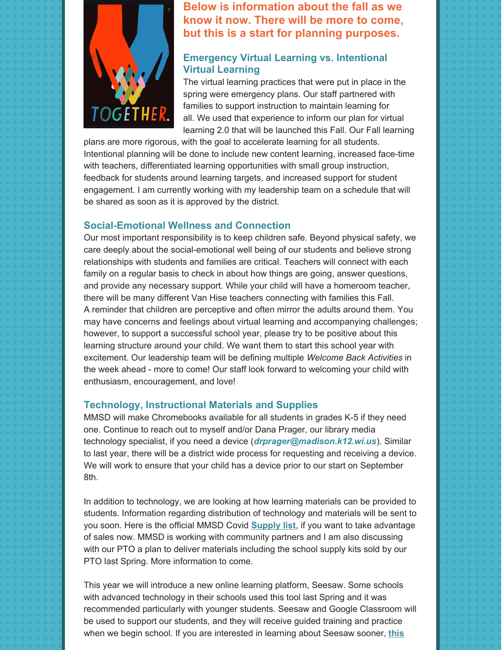

**Below is information about the fall as we know it now. There will be more to come, but this is a start for planning purposes.**

### **Emergency Virtual Learning vs. Intentional Virtual Learning**

The virtual learning practices that were put in place in the spring were emergency plans. Our staff partnered with families to support instruction to maintain learning for all. We used that experience to inform our plan for virtual learning 2.0 that will be launched this Fall. Our Fall learning

plans are more rigorous, with the goal to accelerate learning for all students. Intentional planning will be done to include new content learning, increased face-time with teachers, differentiated learning opportunities with small group instruction, feedback for students around learning targets, and increased support for student engagement. I am currently working with my leadership team on a schedule that will be shared as soon as it is approved by the district.

#### **Social-Emotional Wellness and Connection**

Our most important responsibility is to keep children safe. Beyond physical safety, we care deeply about the social-emotional well being of our students and believe strong relationships with students and families are critical. Teachers will connect with each family on a regular basis to check in about how things are going, answer questions, and provide any necessary support. While your child will have a homeroom teacher, there will be many different Van Hise teachers connecting with families this Fall. A reminder that children are perceptive and often mirror the adults around them. You may have concerns and feelings about virtual learning and accompanying challenges; however, to support a successful school year, please try to be positive about this learning structure around your child. We want them to start this school year with excitement. Our leadership team will be defining multiple *Welcome Back Activities* in the week ahead - more to come! Our staff look forward to welcoming your child with enthusiasm, encouragement, and love!

#### **Technology, Instructional Materials and Supplies**

MMSD will make Chromebooks available for all students in grades K-5 if they need one. Continue to reach out to myself and/or Dana Prager, our library media technology specialist, if you need a device (*[drprager@madison.k12.wi.us](mailto:drprager@madison.k12.wi.us)*). Similar to last year, there will be a district wide process for requesting and receiving a device. We will work to ensure that your child has a device prior to our start on September 8th.

In addition to technology, we are looking at how learning materials can be provided to students. Information regarding distribution of technology and materials will be sent to you soon. Here is the official MMSD Covid **[Supply](https://www.madison.k12.wi.us/files/www/uploads/supply-lists/stephens-supplies-covid-english.pdf) list**, if you want to take advantage of sales now. MMSD is working with community partners and I am also discussing with our PTO a plan to deliver materials including the school supply kits sold by our PTO last Spring. More information to come.

This year we will introduce a new online learning platform, Seesaw. Some schools with advanced technology in their schools used this tool last Spring and it was recommended particularly with younger students. Seesaw and Google Classroom will be used to support our students, and they will receive guided training and practice when we begin school. If you are [interested](https://web.seesaw.me/parents) in learning about Seesaw sooner, **this**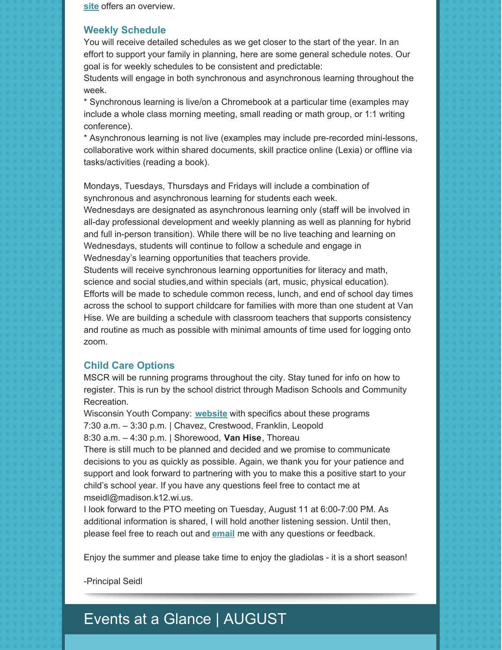**site** offers an overview.

#### **Weekly Schedule**

You will receive detailed schedules as we get closer to the start of the year. In an effort to support your family in planning, here are some general schedule notes. Our goal is for weekly schedules to be consistent and predictable:

Students will engage in both synchronous and asynchronous learning throughout the week.

\* Synchronous learning is live/on a Chromebook at a particular time (examples may include a whole class morning meeting, small reading or math group, or 1:1 writing conference).

\* Asynchronous learning is not live (examples may include pre-recorded mini-lessons, collaborative work within shared documents, skill practice online (Lexia) or offline via tasks/activities (reading a book).

Mondays, Tuesdays, Thursdays and Fridays will include a combination of synchronous and asynchronous learning for students each week.

Wednesdays are designated as asynchronous learning only (staff will be involved in all-day professional development and weekly planning as well as planning for hybrid and full in-person transition). While there will be no live teaching and learning on Wednesdays, students will continue to follow a schedule and engage in Wednesday's learning opportunities that teachers provide.

Students will receive synchronous learning opportunities for literacy and math, science and social studies,and within specials (art, music, physical education). Efforts will be made to schedule common recess, lunch, and end of school day times across the school to support childcare for families with more than one student at Van Hise. We are building a schedule with classroom teachers that supports consistency and routine as much as possible with minimal amounts of time used for logging onto zoom.

#### **Child Care Options**

MSCR will be running programs throughout the city. Stay tuned for info on how to register. This is run by the school district through Madison Schools and Community Recreation.

Wisconsin Youth Company: **[website](https://www.wisconsinyouthcompany.org/virtual-school-day-programs/)** with specifics about these programs 7:30 a.m. – 3:30 p.m. | Chavez, Crestwood, Franklin, Leopold 8:30 a.m. – 4:30 p.m. | Shorewood, **Van Hise**, Thoreau

There is still much to be planned and decided and we promise to communicate decisions to you as quickly as possible. Again, we thank you for your patience and support and look forward to partnering with you to make this a positive start to your child's school year. If you have any questions feel free to contact me at mseidl@madison.k12.wi.us.

I look forward to the PTO meeting on Tuesday, August 11 at 6:00-7:00 PM. As additional information is shared, I will hold another listening session. Until then, please feel free to reach out and **[email](mailto:mseidl@madison.k12.wi.us)** me with any questions or feedback.

Enjoy the summer and please take time to enjoy the gladiolas - it is a short season!

-Principal Seidl

# Events at a Glance | AUGUST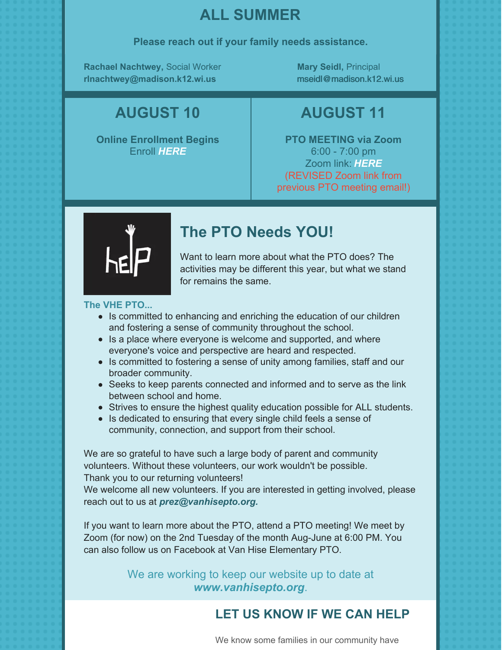# **ALL SUMMER**

#### **Please reach out if your family needs assistance.**

**Rachael Nachtwey,** Social Worker **[rlnachtwey@madison.k12.wi.us](mailto:rlnachtwey@madison.k12.wi.us)**

**Mary Seidl,** Principal [mseidl@madison.k12.wi.us](mailto:mseidl@madison.k12.wi.us)

## **AUGUST 10**

**Online Enrollment Begins** [Enroll](https://enrollment.madison.k12.wi.us/) *[HERE](https://enrollment.madison.k12.wi.us/)*

**AUGUST 11**

**PTO MEETING via Zoom** 6:00 - 7:00 pm Zoom link: *[HERE](https://zoom.us/j/95763041404#success)* (REVISED Zoom link from previous PTO meeting email!)



# **The PTO Needs YOU!**

Want to learn more about what the PTO does? The activities may be different this year, but what we stand for remains the same.

#### **The VHE PTO...**

- Is committed to enhancing and enriching the education of our children and fostering a sense of community throughout the school.
- Is a place where everyone is welcome and supported, and where everyone's voice and perspective are heard and respected.
- Is committed to fostering a sense of unity among families, staff and our broader community.
- Seeks to keep parents connected and informed and to serve as the link between school and home.
- Strives to ensure the highest quality education possible for ALL students.
- Is dedicated to ensuring that every single child feels a sense of community, connection, and support from their school.

We are so grateful to have such a large body of parent and community volunteers. Without these volunteers, our work wouldn't be possible.

Thank you to our returning volunteers!

We welcome all new volunteers. If you are interested in getting involved, please reach out to us at *[prez@vanhisepto.org.](mailto:prez@vanhisepto.org)*

If you want to learn more about the PTO, attend a PTO meeting! We meet by Zoom (for now) on the 2nd Tuesday of the month Aug-June at 6:00 PM. You can also follow us on Facebook at Van Hise Elementary PTO.

> We are working to keep our website up to date at *[www.vanhisepto.org](http://www.vanhisepto.org)*.

## **LET US KNOW IF WE CAN HELP**

We know some families in our community have